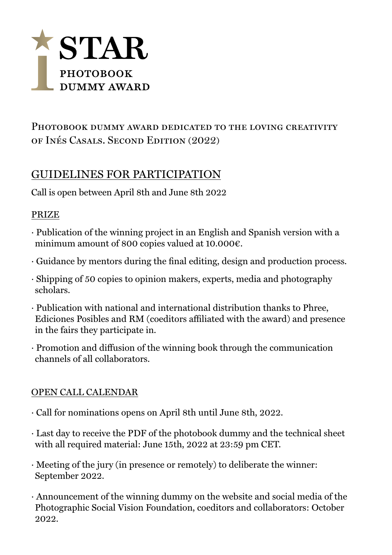

## PHOTOBOOK DUMMY AWARD DEDICATED TO THE LOVING CREATIVITY of Inés Casals. Second Edition (2022)

# GUIDELINES FOR PARTICIPATION

Call is open between April 8th and June 8th 2022

#### PRIZE

- · Publication of the winning project in an English and Spanish version with a minimum amount of 800 copies valued at 10.000 $\varepsilon$ .
- · Guidance by mentors during the final editing, design and production process.
- · Shipping of 50 copies to opinion makers, experts, media and photography scholars.
- · Publication with national and international distribution thanks to Phree, Ediciones Posibles and RM (coeditors affiliated with the award) and presence in the fairs they participate in.
- · Promotion and diffusion of the winning book through the communication channels of all collaborators.

### OPEN CALL CALENDAR

- · Call for nominations opens on April 8th until June 8th, 2022.
- · Last day to receive the PDF of the photobook dummy and the technical sheet with all required material: June 15th, 2022 at 23:59 pm CET.
- · Meeting of the jury (in presence or remotely) to deliberate the winner: September 2022.
- · Announcement of the winning dummy on the website and social media of the Photographic Social Vision Foundation, coeditors and collaborators: October 2022.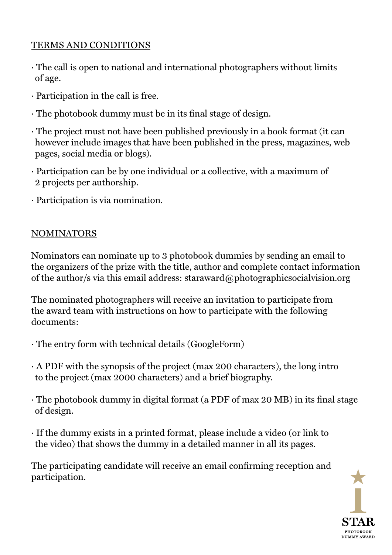## TERMS AND CONDITIONS

- · The call is open to national and international photographers without limits of age.
- · Participation in the call is free.
- · The photobook dummy must be in its final stage of design.
- · The project must not have been published previously in a book format (it can however include images that have been published in the press, magazines, web pages, social media or blogs).
- · Participation can be by one individual or a collective, with a maximum of 2 projects per authorship.
- · Participation is via nomination.

### NOMINATORS

Nominators can nominate up to 3 photobook dummies by sending an email to the organizers of the prize with the title, author and complete contact information of the author/s via this email address: [staraward@photographicsocialvision.org](mailto:starward%40photographicsocialvision.org?subject=)

The nominated photographers will receive an invitation to participate from the award team with instructions on how to participate with the following documents:

- · The entry form with technical details (GoogleForm)
- · A PDF with the synopsis of the project (max 200 characters), the long intro to the project (max 2000 characters) and a brief biography.
- · The photobook dummy in digital format (a PDF of max 20 MB) in its final stage of design.
- · If the dummy exists in a printed format, please include a video (or link to the video) that shows the dummy in a detailed manner in all its pages.

The participating candidate will receive an email confirming reception and participation.